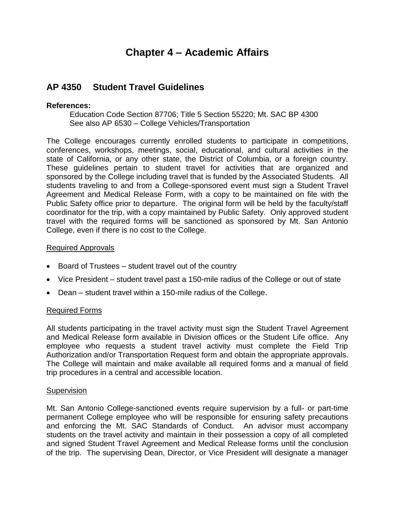# **Chapter 4 – Academic Affairs**

# **AP 4350 Student Travel Guidelines**

# **References:**

 Education Code Section 87706; Title 5 Section 55220; Mt. SAC BP 4300 See also AP 6530 – College Vehicles/Transportation

 The College encourages currently enrolled students to participate in competitions, conferences, workshops, meetings, social, educational, and cultural activities in the state of California, or any other state, the District of Columbia, or a foreign country. These guidelines pertain to student travel for activities that are organized and sponsored by the College including travel that is funded by the Associated Students. All students traveling to and from a College-sponsored event must sign a Student Travel Agreement and Medical Release Form, with a copy to be maintained on file with the Public Safety office prior to departure. The original form will be held by the faculty/staff coordinator for the trip, with a copy maintained by Public Safety. Only approved student travel with the required forms will be sanctioned as sponsored by Mt. San Antonio College, even if there is no cost to the College.

## Required Approvals

- Board of Trustees student travel out of the country
- Vice President student travel past a 150-mile radius of the College or out of state
- Dean student travel within a 150-mile radius of the College.

# Required Forms

 All students participating in the travel activity must sign the Student Travel Agreement and Medical Release form available in Division offices or the Student Life office. Any employee who requests a student travel activity must complete the Field Trip Authorization and/or Transportation Request form and obtain the appropriate approvals. The College will maintain and make available all required forms and a manual of field trip procedures in a central and accessible location.

## **Supervision**

 Mt. San Antonio College-sanctioned events require supervision by a full- or part-time permanent College employee who will be responsible for ensuring safety precautions and enforcing the Mt. SAC Standards of Conduct. An advisor must accompany students on the travel activity and maintain in their possession a copy of all completed and signed Student Travel Agreement and Medical Release forms until the conclusion of the trip. The supervising Dean, Director, or Vice President will designate a manager